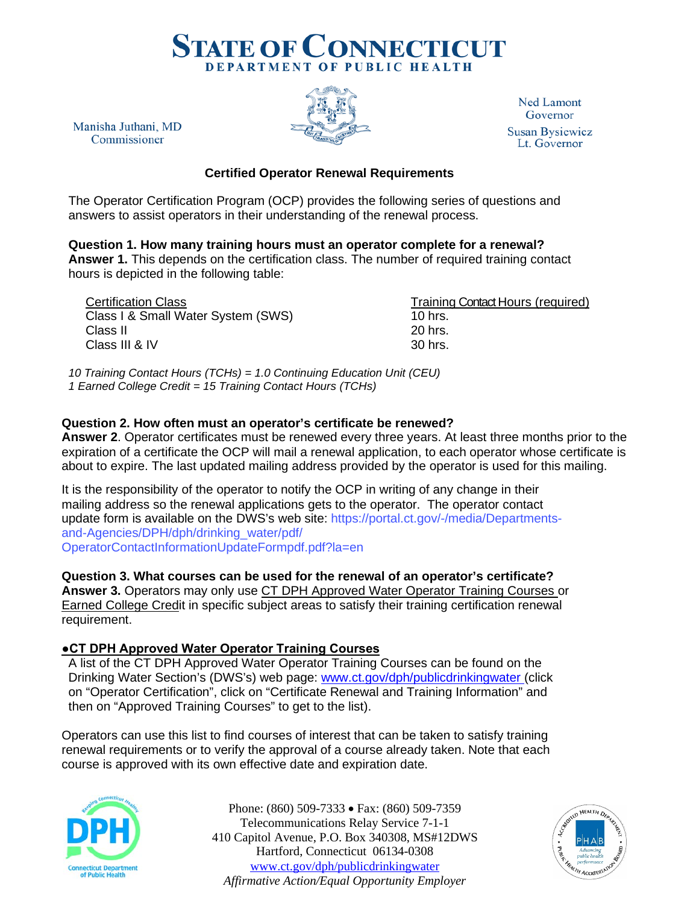

**Ned Lamont** Governor **Susan Bysiewicz** Lt. Governor

**Certified Operator Renewal Requirements**

The Operator Certification Program (OCP) provides the following series of questions and answers to assist operators in their understanding of the renewal process.

**Question 1. How many training hours must an operator complete for a renewal? Answer 1.** This depends on the certification class. The number of required training contact hours is depicted in the following table:

Certification Class<br>Class I & Small Water System (SWS) Training Contact Hours (required) Class I & Small Water System (SWS) Class II 20 hrs.  $Class III 8 IV 30 hrs.$ 

Manisha Juthani, MD

Commissioner

*10 Training Contact Hours (TCHs) = 1.0 Continuing Education Unit (CEU) 1 Earned College Credit = 15 Training Contact Hours (TCHs)*

## **Question 2. How often must an operator's certificate be renewed?**

**Answer 2**. Operator certificates must be renewed every three years. At least three months prior to the expiration of a certificate the OCP will mail a renewal application, to each operator whose certificate is about to expire. The last updated mailing address provided by the operator is used for this mailing.

It is the responsibility of the operator to notify the OCP in writing of any change in their mailing address so [the renewal applications gets to the operator. The operator contact](https://portal.ct.gov/-/media/Departments-and-Agencies/DPH/dph/drinking_water/pdf/OperatorContactInformationUpdateFormpdf.pdf?la=en)  [update form is available on the](https://portal.ct.gov/-/media/Departments-and-Agencies/DPH/dph/drinking_water/pdf/OperatorContactInformationUpdateFormpdf.pdf?la=en) DWS's web site: https://portal.ct.gov/-/media/Departmentsand-Agencies/DPH/dph/drinking\_water/pdf/ OperatorContactInformationUpdateFormpdf.pdf?la=en

**Question 3. What courses can be used for the renewal of an operator's certificate? Answer 3.** Operators may only use CT DPH Approved Water Operator Training Courses or Earned College Credit in specific subject areas to satisfy their training certification renewal requirement.

### **●CT DPH Approved Water Operator Training Courses**

A list of the CT DPH Approved Water Operator Training Courses can be found on the Drinking Water Section's (DWS's) web page: [www.ct.gov/dph/publicdrinkingwater \(](http://www.ct.gov/dph/publicdrinkingwater)click on "Operator Certification", click on "Certificate Renewal and Training Information" and then on "Approved Training Courses" to get to the list).

Operators can use this list to find courses of interest that can be taken to satisfy training renewal requirements or to verify the approval of a course already taken. Note that each course is approved with its own effective date and expiration date.



Phone: (860) 509-7333 • Fax: (860) 509-7359 Telecommunications Relay Service 7-1-1 410 Capitol Avenue, P.O. Box 340308, MS#12DWS Hartford, Connecticut 06134-0308 [www.ct.gov/dph/publicdrinkingwater](http://www.ct.gov/dph/publicdrinkingwater) *Affirmative Action/Equal Opportunity Employer*

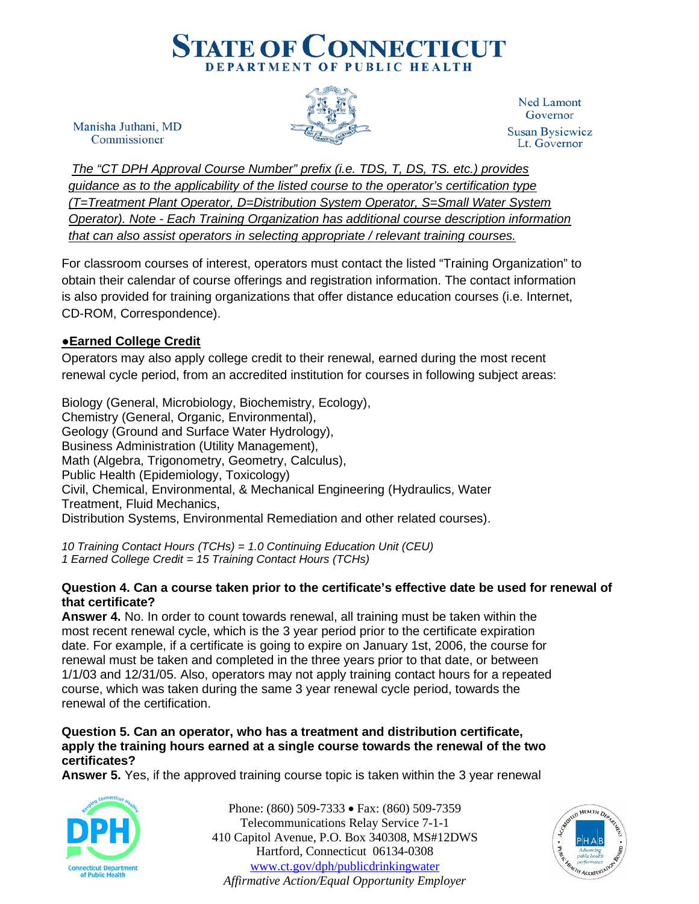

Manisha Juthani, MD Commissioner

**Ned Lamont** Governor **Susan Bysiewicz** Lt. Governor

*The "CT DPH Approval Course Number" prefix (i.e. TDS, T, DS, TS. etc.) provides guidance as to the applicability of the listed course to the operator's certification type (T=Treatment Plant Operator, D=Distribution System Operator, S=Small Water System Operator). Note - Each Training Organization has additional course description information that can also assist operators in selecting appropriate / relevant training courses.* 

For classroom courses of interest, operators must contact the listed "Training Organization" to obtain their calendar of course offerings and registration information. The contact information is also provided for training organizations that offer distance education courses (i.e. Internet, CD-ROM, Correspondence).

# ●**Earned College Credit**

Operators may also apply college credit to their renewal, earned during the most recent renewal cycle period, from an accredited institution for courses in following subject areas:

Biology (General, Microbiology, Biochemistry, Ecology), Chemistry (General, Organic, Environmental), Geology (Ground and Surface Water Hydrology), Business Administration (Utility Management), Math (Algebra, Trigonometry, Geometry, Calculus), Public Health (Epidemiology, Toxicology) Civil, Chemical, Environmental, & Mechanical Engineering (Hydraulics, Water Treatment, Fluid Mechanics, Distribution Systems, Environmental Remediation and other related courses).

*10 Training Contact Hours (TCHs) = 1.0 Continuing Education Unit (CEU) 1 Earned College Credit = 15 Training Contact Hours (TCHs)*

### **Question 4. Can a course taken prior to the certificate's effective date be used for renewal of that certificate?**

**Answer 4.** No. In order to count towards renewal, all training must be taken within the most recent renewal cycle, which is the 3 year period prior to the certificate expiration date. For example, if a certificate is going to expire on January 1st, 2006, the course for renewal must be taken and completed in the three years prior to that date, or between 1/1/03 and 12/31/05. Also, operators may not apply training contact hours for a repeated course, which was taken during the same 3 year renewal cycle period, towards the renewal of the certification.

### **Question 5. Can an operator, who has a treatment and distribution certificate, apply the training hours earned at a single course towards the renewal of the two certificates?**

**Answer 5.** Yes, if the approved training course topic is taken within the 3 year renewal



Phone: (860) 509-7333 • Fax: (860) 509-7359 Telecommunications Relay Service 7-1-1 410 Capitol Avenue, P.O. Box 340308, MS#12DWS Hartford, Connecticut 06134-0308 [www.ct.gov/dph/publicdrinkingwater](http://www.ct.gov/dph/publicdrinkingwater) *Affirmative Action/Equal Opportunity Employer*